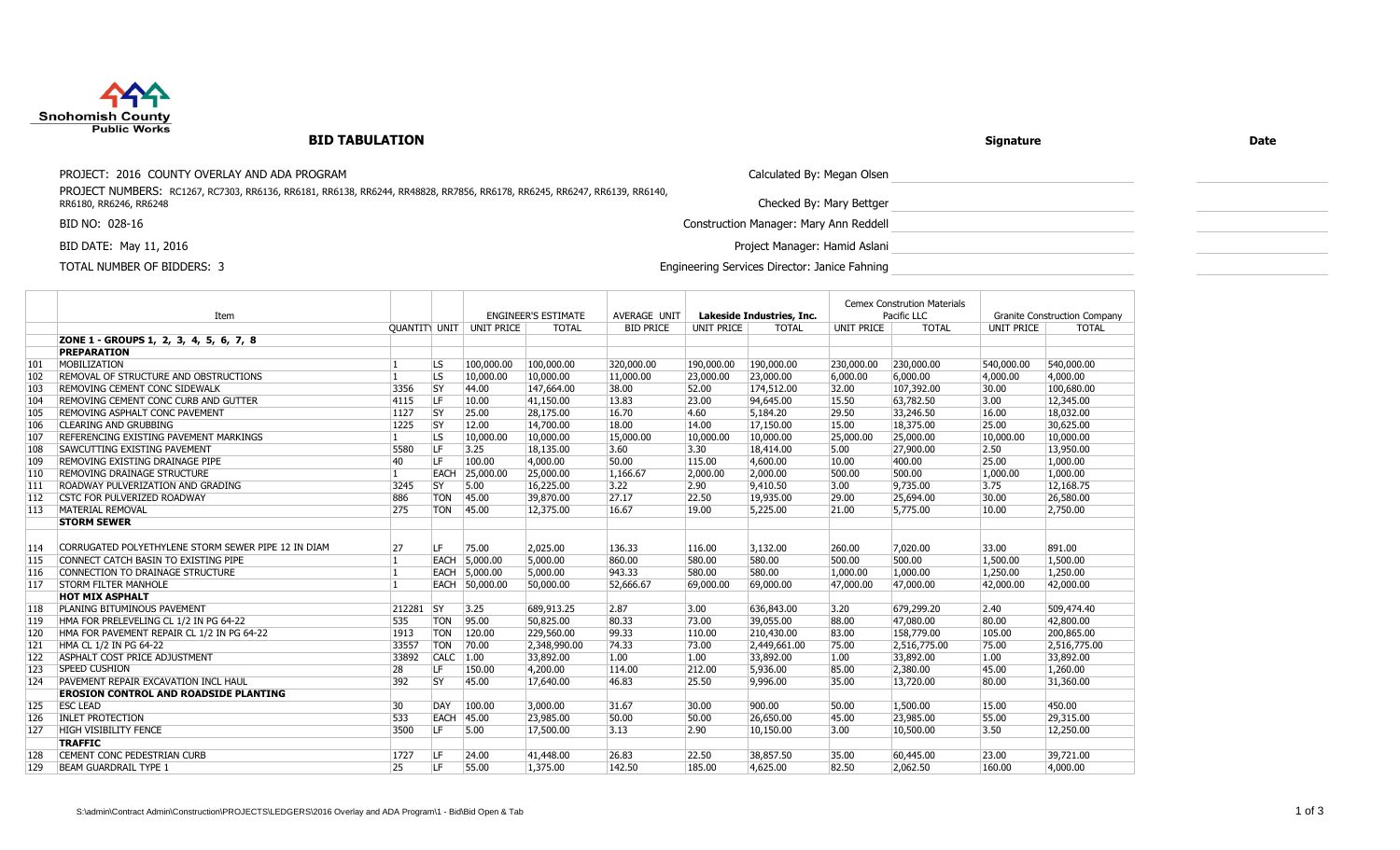

## **BID TABULATION**

## **Signature Date**

PROJECT: 2016 COUNTY OVERLAY AND ADA PROGRAM CALCULATED THE SAME CALCULATED TO CALCULATED THE CALCULATED OF SAME CALCULATED TO CALCULATED THE CALCULATED OF SAME CALCULATED TO CALCULATED THE CALCULATED THE CALCULATED THE CA

PROJECT NUMBERS: RC1267, RC7303, RR6136, RR6181, RR6138, RR6244, RR48828, RR7856, RR6178, RR6245, RR6247, RR6139, RR6140, RR6180, RR6246, RR6248

BID NO: 028-16 Construction Manager: Mary Ann Reddell

BID DATE: May 11, 2016 **Project Manager: Hamid Aslani** Project Manager: Hamid Aslani

TOTAL NUMBER OF BIDDERS: 3 Engineering Services Director: Janice Fahning

Checked By: Mary Bettger

| Pacific LLC<br><b>ENGINEER'S ESTIMATE</b><br>Lakeside Industries, Inc.<br><b>Granite Construction Company</b><br>OUANTITY UNIT UNIT PRICE<br><b>TOTAL</b><br><b>BID PRICE</b><br><b>UNIT PRICE</b><br><b>TOTAL</b><br><b>UNIT PRICE</b><br><b>TOTAL</b><br><b>UNIT PRICE</b><br><b>TOTAL</b><br>ZONE 1 - GROUPS 1, 2, 3, 4, 5, 6, 7, 8<br><b>PREPARATION</b><br>MOBILIZATION<br><b>LS</b><br>100,000.00<br>100,000.00<br>320,000.00<br>190,000.00<br>230,000.00<br>540,000.00<br>101<br>190,000.00<br>230,000.00<br>540,000.00<br>102<br>REMOVAL OF STRUCTURE AND OBSTRUCTIONS<br>$\overline{LS}$<br>10,000.00<br>10,000.00<br>11,000.00<br>23,000.00<br>23,000.00<br>6,000.00<br>4,000.00<br>4,000.00<br>$\vert$ 1.<br>6,000.00<br>$\overline{\text{SY}}$<br>103<br>3356<br>52.00<br>100,680.00<br><b>REMOVING CEMENT CONC SIDEWALK</b><br>44.00<br>147,664.00<br>38.00<br>174,512.00<br>32.00<br>107,392.00<br>30.00<br><b>LF</b><br>104<br>94,645.00<br>63,782.50<br>12,345.00<br>REMOVING CEMENT CONC CURB AND GUTTER<br>4115<br>10.00<br>41,150.00<br>13.83<br>23.00<br>15.50<br>3.00<br>$\overline{SY}$<br>105<br>REMOVING ASPHALT CONC PAVEMENT<br>1127<br>25.00<br>28,175.00<br>16.70<br>4.60<br>5,184.20<br>29.50<br>33,246.50<br>16.00<br>18,032.00<br>$\overline{SY}$<br>30,625.00<br>106<br>1225<br>12.00<br>14,700.00<br>18.00<br>17,150.00<br>15.00<br>18,375.00<br><b>CLEARING AND GRUBBING</b><br>14.00<br>25.00<br>107<br>$\overline{LS}$<br>10,000.00<br>10,000.00<br>10,000.00<br>15,000.00<br>10,000.00<br>10,000.00<br>25,000.00<br>25,000.00<br>10,000.00<br>REFERENCING EXISTING PAVEMENT MARKINGS<br>11.<br><b>LF</b><br>108<br>5580<br>3.25<br>18,135.00<br>3.60<br>3.30<br>18,414.00<br>27,900.00<br> 2.50<br>13,950.00<br><b>SAWCUTTING EXISTING PAVEMENT</b><br>5.00<br><b>LF</b><br>109<br>40<br>4,000.00<br>50.00<br>115.00<br>4,600.00<br>400.00<br>1,000.00<br><b>REMOVING EXISTING DRAINAGE PIPE</b><br>100.00<br>10.00<br>25.00<br>25,000.00<br>500.00<br>1,000.00<br>110<br><b>REMOVING DRAINAGE STRUCTURE</b><br>EACH<br>25,000.00<br>1,166.67<br>2,000.00<br>2,000.00<br>500.00<br>1,000.00<br>11.<br>9,735.00<br>111<br>ROADWAY PULVERIZATION AND GRADING<br>3245<br> SY<br>5.00<br>16,225.00<br>3.22<br>$\sqrt{2.90}$<br>9,410.50<br>3.00<br>3.75<br>12,168.75<br>112<br>886<br><b>TON</b><br>45.00<br>39,870.00<br>27.17<br>22.50<br>19,935.00<br>25,694.00<br>30.00<br>26,580.00<br><b>CSTC FOR PULVERIZED ROADWAY</b><br>29.00<br>113<br>275<br>MATERIAL REMOVAL<br><b>TON</b><br>45.00<br>12,375.00<br>16.67<br>19.00<br>5,225.00<br>21.00<br>5,775.00<br>10.00<br>2,750.00<br><b>STORM SEWER</b><br>CORRUGATED POLYETHYLENE STORM SEWER PIPE 12 IN DIAM<br>ILF.<br>891.00<br>27<br>75.00<br>2.025.00<br>136.33<br>116.00<br>3.132.00<br>260.00<br>7,020,00<br>33.00<br>114<br>580.00<br>500.00<br>115<br>CONNECT CATCH BASIN TO EXISTING PIPE<br><b>EACH</b><br>5,000.00<br>5,000.00<br>860.00<br>580.00<br>500.00<br>1,500.00<br>11<br>1.500.00<br>116<br>11<br>5,000.00<br>5,000.00<br>943.33<br>580.00<br>580.00<br>1,000.00<br>1,000.00<br>1,250.00<br>CONNECTION TO DRAINAGE STRUCTURE<br>EACH<br>1,250.00<br><b>STORM FILTER MANHOLE</b><br>50,000.00<br>52,666.67<br>42,000.00<br>117<br>EACH 50,000.00<br>69,000.00<br>69,000.00<br>47,000.00<br>47,000.00<br>42,000.00<br><b>HOT MIX ASPHALT</b><br>212281 SY<br>3.25<br>2.87<br>2.40<br>509,474.40<br>PLANING BITUMINOUS PAVEMENT<br>689,913.25<br>3.00<br>636,843.00<br>3.20<br>679,299.20<br> 118<br>119<br>535<br><b>TON</b><br>95.00<br>80.33<br>73.00<br>47,080,00<br>80.00<br>HMA FOR PRELEVELING CL 1/2 IN PG 64-22<br>88.00 |      |  |           |              |           | <b>Cemex Constrution Materials</b> |  |  |           |
|-------------------------------------------------------------------------------------------------------------------------------------------------------------------------------------------------------------------------------------------------------------------------------------------------------------------------------------------------------------------------------------------------------------------------------------------------------------------------------------------------------------------------------------------------------------------------------------------------------------------------------------------------------------------------------------------------------------------------------------------------------------------------------------------------------------------------------------------------------------------------------------------------------------------------------------------------------------------------------------------------------------------------------------------------------------------------------------------------------------------------------------------------------------------------------------------------------------------------------------------------------------------------------------------------------------------------------------------------------------------------------------------------------------------------------------------------------------------------------------------------------------------------------------------------------------------------------------------------------------------------------------------------------------------------------------------------------------------------------------------------------------------------------------------------------------------------------------------------------------------------------------------------------------------------------------------------------------------------------------------------------------------------------------------------------------------------------------------------------------------------------------------------------------------------------------------------------------------------------------------------------------------------------------------------------------------------------------------------------------------------------------------------------------------------------------------------------------------------------------------------------------------------------------------------------------------------------------------------------------------------------------------------------------------------------------------------------------------------------------------------------------------------------------------------------------------------------------------------------------------------------------------------------------------------------------------------------------------------------------------------------------------------------------------------------------------------------------------------------------------------------------------------------------------------------------------------------------------------------------------------------------------------------------------------------------------------------------------------------------------------------------------------------------------------------------------------------------------------------------------------------------------------------------------------------------------------------------------------------------------------------------------|------|--|-----------|--------------|-----------|------------------------------------|--|--|-----------|
|                                                                                                                                                                                                                                                                                                                                                                                                                                                                                                                                                                                                                                                                                                                                                                                                                                                                                                                                                                                                                                                                                                                                                                                                                                                                                                                                                                                                                                                                                                                                                                                                                                                                                                                                                                                                                                                                                                                                                                                                                                                                                                                                                                                                                                                                                                                                                                                                                                                                                                                                                                                                                                                                                                                                                                                                                                                                                                                                                                                                                                                                                                                                                                                                                                                                                                                                                                                                                                                                                                                                                                                                                                           | Item |  |           | AVERAGE UNIT |           |                                    |  |  |           |
|                                                                                                                                                                                                                                                                                                                                                                                                                                                                                                                                                                                                                                                                                                                                                                                                                                                                                                                                                                                                                                                                                                                                                                                                                                                                                                                                                                                                                                                                                                                                                                                                                                                                                                                                                                                                                                                                                                                                                                                                                                                                                                                                                                                                                                                                                                                                                                                                                                                                                                                                                                                                                                                                                                                                                                                                                                                                                                                                                                                                                                                                                                                                                                                                                                                                                                                                                                                                                                                                                                                                                                                                                                           |      |  |           |              |           |                                    |  |  |           |
|                                                                                                                                                                                                                                                                                                                                                                                                                                                                                                                                                                                                                                                                                                                                                                                                                                                                                                                                                                                                                                                                                                                                                                                                                                                                                                                                                                                                                                                                                                                                                                                                                                                                                                                                                                                                                                                                                                                                                                                                                                                                                                                                                                                                                                                                                                                                                                                                                                                                                                                                                                                                                                                                                                                                                                                                                                                                                                                                                                                                                                                                                                                                                                                                                                                                                                                                                                                                                                                                                                                                                                                                                                           |      |  |           |              |           |                                    |  |  |           |
|                                                                                                                                                                                                                                                                                                                                                                                                                                                                                                                                                                                                                                                                                                                                                                                                                                                                                                                                                                                                                                                                                                                                                                                                                                                                                                                                                                                                                                                                                                                                                                                                                                                                                                                                                                                                                                                                                                                                                                                                                                                                                                                                                                                                                                                                                                                                                                                                                                                                                                                                                                                                                                                                                                                                                                                                                                                                                                                                                                                                                                                                                                                                                                                                                                                                                                                                                                                                                                                                                                                                                                                                                                           |      |  |           |              |           |                                    |  |  |           |
|                                                                                                                                                                                                                                                                                                                                                                                                                                                                                                                                                                                                                                                                                                                                                                                                                                                                                                                                                                                                                                                                                                                                                                                                                                                                                                                                                                                                                                                                                                                                                                                                                                                                                                                                                                                                                                                                                                                                                                                                                                                                                                                                                                                                                                                                                                                                                                                                                                                                                                                                                                                                                                                                                                                                                                                                                                                                                                                                                                                                                                                                                                                                                                                                                                                                                                                                                                                                                                                                                                                                                                                                                                           |      |  |           |              |           |                                    |  |  |           |
|                                                                                                                                                                                                                                                                                                                                                                                                                                                                                                                                                                                                                                                                                                                                                                                                                                                                                                                                                                                                                                                                                                                                                                                                                                                                                                                                                                                                                                                                                                                                                                                                                                                                                                                                                                                                                                                                                                                                                                                                                                                                                                                                                                                                                                                                                                                                                                                                                                                                                                                                                                                                                                                                                                                                                                                                                                                                                                                                                                                                                                                                                                                                                                                                                                                                                                                                                                                                                                                                                                                                                                                                                                           |      |  |           |              |           |                                    |  |  |           |
|                                                                                                                                                                                                                                                                                                                                                                                                                                                                                                                                                                                                                                                                                                                                                                                                                                                                                                                                                                                                                                                                                                                                                                                                                                                                                                                                                                                                                                                                                                                                                                                                                                                                                                                                                                                                                                                                                                                                                                                                                                                                                                                                                                                                                                                                                                                                                                                                                                                                                                                                                                                                                                                                                                                                                                                                                                                                                                                                                                                                                                                                                                                                                                                                                                                                                                                                                                                                                                                                                                                                                                                                                                           |      |  |           |              |           |                                    |  |  |           |
|                                                                                                                                                                                                                                                                                                                                                                                                                                                                                                                                                                                                                                                                                                                                                                                                                                                                                                                                                                                                                                                                                                                                                                                                                                                                                                                                                                                                                                                                                                                                                                                                                                                                                                                                                                                                                                                                                                                                                                                                                                                                                                                                                                                                                                                                                                                                                                                                                                                                                                                                                                                                                                                                                                                                                                                                                                                                                                                                                                                                                                                                                                                                                                                                                                                                                                                                                                                                                                                                                                                                                                                                                                           |      |  |           |              |           |                                    |  |  |           |
|                                                                                                                                                                                                                                                                                                                                                                                                                                                                                                                                                                                                                                                                                                                                                                                                                                                                                                                                                                                                                                                                                                                                                                                                                                                                                                                                                                                                                                                                                                                                                                                                                                                                                                                                                                                                                                                                                                                                                                                                                                                                                                                                                                                                                                                                                                                                                                                                                                                                                                                                                                                                                                                                                                                                                                                                                                                                                                                                                                                                                                                                                                                                                                                                                                                                                                                                                                                                                                                                                                                                                                                                                                           |      |  |           |              |           |                                    |  |  |           |
|                                                                                                                                                                                                                                                                                                                                                                                                                                                                                                                                                                                                                                                                                                                                                                                                                                                                                                                                                                                                                                                                                                                                                                                                                                                                                                                                                                                                                                                                                                                                                                                                                                                                                                                                                                                                                                                                                                                                                                                                                                                                                                                                                                                                                                                                                                                                                                                                                                                                                                                                                                                                                                                                                                                                                                                                                                                                                                                                                                                                                                                                                                                                                                                                                                                                                                                                                                                                                                                                                                                                                                                                                                           |      |  |           |              |           |                                    |  |  |           |
|                                                                                                                                                                                                                                                                                                                                                                                                                                                                                                                                                                                                                                                                                                                                                                                                                                                                                                                                                                                                                                                                                                                                                                                                                                                                                                                                                                                                                                                                                                                                                                                                                                                                                                                                                                                                                                                                                                                                                                                                                                                                                                                                                                                                                                                                                                                                                                                                                                                                                                                                                                                                                                                                                                                                                                                                                                                                                                                                                                                                                                                                                                                                                                                                                                                                                                                                                                                                                                                                                                                                                                                                                                           |      |  |           |              |           |                                    |  |  |           |
|                                                                                                                                                                                                                                                                                                                                                                                                                                                                                                                                                                                                                                                                                                                                                                                                                                                                                                                                                                                                                                                                                                                                                                                                                                                                                                                                                                                                                                                                                                                                                                                                                                                                                                                                                                                                                                                                                                                                                                                                                                                                                                                                                                                                                                                                                                                                                                                                                                                                                                                                                                                                                                                                                                                                                                                                                                                                                                                                                                                                                                                                                                                                                                                                                                                                                                                                                                                                                                                                                                                                                                                                                                           |      |  |           |              |           |                                    |  |  |           |
|                                                                                                                                                                                                                                                                                                                                                                                                                                                                                                                                                                                                                                                                                                                                                                                                                                                                                                                                                                                                                                                                                                                                                                                                                                                                                                                                                                                                                                                                                                                                                                                                                                                                                                                                                                                                                                                                                                                                                                                                                                                                                                                                                                                                                                                                                                                                                                                                                                                                                                                                                                                                                                                                                                                                                                                                                                                                                                                                                                                                                                                                                                                                                                                                                                                                                                                                                                                                                                                                                                                                                                                                                                           |      |  |           |              |           |                                    |  |  |           |
|                                                                                                                                                                                                                                                                                                                                                                                                                                                                                                                                                                                                                                                                                                                                                                                                                                                                                                                                                                                                                                                                                                                                                                                                                                                                                                                                                                                                                                                                                                                                                                                                                                                                                                                                                                                                                                                                                                                                                                                                                                                                                                                                                                                                                                                                                                                                                                                                                                                                                                                                                                                                                                                                                                                                                                                                                                                                                                                                                                                                                                                                                                                                                                                                                                                                                                                                                                                                                                                                                                                                                                                                                                           |      |  |           |              |           |                                    |  |  |           |
|                                                                                                                                                                                                                                                                                                                                                                                                                                                                                                                                                                                                                                                                                                                                                                                                                                                                                                                                                                                                                                                                                                                                                                                                                                                                                                                                                                                                                                                                                                                                                                                                                                                                                                                                                                                                                                                                                                                                                                                                                                                                                                                                                                                                                                                                                                                                                                                                                                                                                                                                                                                                                                                                                                                                                                                                                                                                                                                                                                                                                                                                                                                                                                                                                                                                                                                                                                                                                                                                                                                                                                                                                                           |      |  |           |              |           |                                    |  |  |           |
|                                                                                                                                                                                                                                                                                                                                                                                                                                                                                                                                                                                                                                                                                                                                                                                                                                                                                                                                                                                                                                                                                                                                                                                                                                                                                                                                                                                                                                                                                                                                                                                                                                                                                                                                                                                                                                                                                                                                                                                                                                                                                                                                                                                                                                                                                                                                                                                                                                                                                                                                                                                                                                                                                                                                                                                                                                                                                                                                                                                                                                                                                                                                                                                                                                                                                                                                                                                                                                                                                                                                                                                                                                           |      |  |           |              |           |                                    |  |  |           |
|                                                                                                                                                                                                                                                                                                                                                                                                                                                                                                                                                                                                                                                                                                                                                                                                                                                                                                                                                                                                                                                                                                                                                                                                                                                                                                                                                                                                                                                                                                                                                                                                                                                                                                                                                                                                                                                                                                                                                                                                                                                                                                                                                                                                                                                                                                                                                                                                                                                                                                                                                                                                                                                                                                                                                                                                                                                                                                                                                                                                                                                                                                                                                                                                                                                                                                                                                                                                                                                                                                                                                                                                                                           |      |  |           |              |           |                                    |  |  |           |
|                                                                                                                                                                                                                                                                                                                                                                                                                                                                                                                                                                                                                                                                                                                                                                                                                                                                                                                                                                                                                                                                                                                                                                                                                                                                                                                                                                                                                                                                                                                                                                                                                                                                                                                                                                                                                                                                                                                                                                                                                                                                                                                                                                                                                                                                                                                                                                                                                                                                                                                                                                                                                                                                                                                                                                                                                                                                                                                                                                                                                                                                                                                                                                                                                                                                                                                                                                                                                                                                                                                                                                                                                                           |      |  |           |              |           |                                    |  |  |           |
|                                                                                                                                                                                                                                                                                                                                                                                                                                                                                                                                                                                                                                                                                                                                                                                                                                                                                                                                                                                                                                                                                                                                                                                                                                                                                                                                                                                                                                                                                                                                                                                                                                                                                                                                                                                                                                                                                                                                                                                                                                                                                                                                                                                                                                                                                                                                                                                                                                                                                                                                                                                                                                                                                                                                                                                                                                                                                                                                                                                                                                                                                                                                                                                                                                                                                                                                                                                                                                                                                                                                                                                                                                           |      |  |           |              |           |                                    |  |  |           |
|                                                                                                                                                                                                                                                                                                                                                                                                                                                                                                                                                                                                                                                                                                                                                                                                                                                                                                                                                                                                                                                                                                                                                                                                                                                                                                                                                                                                                                                                                                                                                                                                                                                                                                                                                                                                                                                                                                                                                                                                                                                                                                                                                                                                                                                                                                                                                                                                                                                                                                                                                                                                                                                                                                                                                                                                                                                                                                                                                                                                                                                                                                                                                                                                                                                                                                                                                                                                                                                                                                                                                                                                                                           |      |  |           |              |           |                                    |  |  |           |
|                                                                                                                                                                                                                                                                                                                                                                                                                                                                                                                                                                                                                                                                                                                                                                                                                                                                                                                                                                                                                                                                                                                                                                                                                                                                                                                                                                                                                                                                                                                                                                                                                                                                                                                                                                                                                                                                                                                                                                                                                                                                                                                                                                                                                                                                                                                                                                                                                                                                                                                                                                                                                                                                                                                                                                                                                                                                                                                                                                                                                                                                                                                                                                                                                                                                                                                                                                                                                                                                                                                                                                                                                                           |      |  |           |              |           |                                    |  |  |           |
|                                                                                                                                                                                                                                                                                                                                                                                                                                                                                                                                                                                                                                                                                                                                                                                                                                                                                                                                                                                                                                                                                                                                                                                                                                                                                                                                                                                                                                                                                                                                                                                                                                                                                                                                                                                                                                                                                                                                                                                                                                                                                                                                                                                                                                                                                                                                                                                                                                                                                                                                                                                                                                                                                                                                                                                                                                                                                                                                                                                                                                                                                                                                                                                                                                                                                                                                                                                                                                                                                                                                                                                                                                           |      |  |           |              |           |                                    |  |  |           |
|                                                                                                                                                                                                                                                                                                                                                                                                                                                                                                                                                                                                                                                                                                                                                                                                                                                                                                                                                                                                                                                                                                                                                                                                                                                                                                                                                                                                                                                                                                                                                                                                                                                                                                                                                                                                                                                                                                                                                                                                                                                                                                                                                                                                                                                                                                                                                                                                                                                                                                                                                                                                                                                                                                                                                                                                                                                                                                                                                                                                                                                                                                                                                                                                                                                                                                                                                                                                                                                                                                                                                                                                                                           |      |  |           |              |           |                                    |  |  |           |
|                                                                                                                                                                                                                                                                                                                                                                                                                                                                                                                                                                                                                                                                                                                                                                                                                                                                                                                                                                                                                                                                                                                                                                                                                                                                                                                                                                                                                                                                                                                                                                                                                                                                                                                                                                                                                                                                                                                                                                                                                                                                                                                                                                                                                                                                                                                                                                                                                                                                                                                                                                                                                                                                                                                                                                                                                                                                                                                                                                                                                                                                                                                                                                                                                                                                                                                                                                                                                                                                                                                                                                                                                                           |      |  |           |              |           |                                    |  |  |           |
|                                                                                                                                                                                                                                                                                                                                                                                                                                                                                                                                                                                                                                                                                                                                                                                                                                                                                                                                                                                                                                                                                                                                                                                                                                                                                                                                                                                                                                                                                                                                                                                                                                                                                                                                                                                                                                                                                                                                                                                                                                                                                                                                                                                                                                                                                                                                                                                                                                                                                                                                                                                                                                                                                                                                                                                                                                                                                                                                                                                                                                                                                                                                                                                                                                                                                                                                                                                                                                                                                                                                                                                                                                           |      |  |           |              |           |                                    |  |  |           |
|                                                                                                                                                                                                                                                                                                                                                                                                                                                                                                                                                                                                                                                                                                                                                                                                                                                                                                                                                                                                                                                                                                                                                                                                                                                                                                                                                                                                                                                                                                                                                                                                                                                                                                                                                                                                                                                                                                                                                                                                                                                                                                                                                                                                                                                                                                                                                                                                                                                                                                                                                                                                                                                                                                                                                                                                                                                                                                                                                                                                                                                                                                                                                                                                                                                                                                                                                                                                                                                                                                                                                                                                                                           |      |  | 50,825.00 |              | 39,055.00 |                                    |  |  | 42,800.00 |
| 120<br>1913<br><b>TON</b><br>229,560.00<br>99.33<br>158,779.00<br>200,865.00<br>HMA FOR PAVEMENT REPAIR CL 1/2 IN PG 64-22<br>120.00<br>110.00<br>210,430.00<br>83.00<br>105.00                                                                                                                                                                                                                                                                                                                                                                                                                                                                                                                                                                                                                                                                                                                                                                                                                                                                                                                                                                                                                                                                                                                                                                                                                                                                                                                                                                                                                                                                                                                                                                                                                                                                                                                                                                                                                                                                                                                                                                                                                                                                                                                                                                                                                                                                                                                                                                                                                                                                                                                                                                                                                                                                                                                                                                                                                                                                                                                                                                                                                                                                                                                                                                                                                                                                                                                                                                                                                                                           |      |  |           |              |           |                                    |  |  |           |
| HMA CL 1/2 IN PG 64-22<br>33557<br><b>TON</b><br>121<br>70.00<br>2,348,990.00<br>74.33<br>73.00<br>2,449,661.00<br>2,516,775.00<br>75.00<br>2,516,775.00<br>75.00                                                                                                                                                                                                                                                                                                                                                                                                                                                                                                                                                                                                                                                                                                                                                                                                                                                                                                                                                                                                                                                                                                                                                                                                                                                                                                                                                                                                                                                                                                                                                                                                                                                                                                                                                                                                                                                                                                                                                                                                                                                                                                                                                                                                                                                                                                                                                                                                                                                                                                                                                                                                                                                                                                                                                                                                                                                                                                                                                                                                                                                                                                                                                                                                                                                                                                                                                                                                                                                                         |      |  |           |              |           |                                    |  |  |           |
| <b>CALC</b><br>122<br>ASPHALT COST PRICE ADJUSTMENT<br>33892<br>1.00<br>33,892.00<br>33,892.00<br>33,892.00<br>33,892.00<br>1.00<br>1.00<br>1.00<br>1.00                                                                                                                                                                                                                                                                                                                                                                                                                                                                                                                                                                                                                                                                                                                                                                                                                                                                                                                                                                                                                                                                                                                                                                                                                                                                                                                                                                                                                                                                                                                                                                                                                                                                                                                                                                                                                                                                                                                                                                                                                                                                                                                                                                                                                                                                                                                                                                                                                                                                                                                                                                                                                                                                                                                                                                                                                                                                                                                                                                                                                                                                                                                                                                                                                                                                                                                                                                                                                                                                                  |      |  |           |              |           |                                    |  |  |           |
| 123<br><b>SPEED CUSHION</b><br><b>LF</b><br>28<br>4,200.00<br>212.00<br>5,936.00<br>2,380.00<br>45.00<br>1,260.00<br>150.00<br>114.00<br>85.00                                                                                                                                                                                                                                                                                                                                                                                                                                                                                                                                                                                                                                                                                                                                                                                                                                                                                                                                                                                                                                                                                                                                                                                                                                                                                                                                                                                                                                                                                                                                                                                                                                                                                                                                                                                                                                                                                                                                                                                                                                                                                                                                                                                                                                                                                                                                                                                                                                                                                                                                                                                                                                                                                                                                                                                                                                                                                                                                                                                                                                                                                                                                                                                                                                                                                                                                                                                                                                                                                            |      |  |           |              |           |                                    |  |  |           |
| 124<br>392<br><b>SY</b><br>PAVEMENT REPAIR EXCAVATION INCL HAUL<br>45.00<br>17,640.00<br>46.83<br>25.50<br>9,996.00<br>35.00<br>13,720.00<br>80.00<br>31,360.00                                                                                                                                                                                                                                                                                                                                                                                                                                                                                                                                                                                                                                                                                                                                                                                                                                                                                                                                                                                                                                                                                                                                                                                                                                                                                                                                                                                                                                                                                                                                                                                                                                                                                                                                                                                                                                                                                                                                                                                                                                                                                                                                                                                                                                                                                                                                                                                                                                                                                                                                                                                                                                                                                                                                                                                                                                                                                                                                                                                                                                                                                                                                                                                                                                                                                                                                                                                                                                                                           |      |  |           |              |           |                                    |  |  |           |
| <b>EROSION CONTROL AND ROADSIDE PLANTING</b>                                                                                                                                                                                                                                                                                                                                                                                                                                                                                                                                                                                                                                                                                                                                                                                                                                                                                                                                                                                                                                                                                                                                                                                                                                                                                                                                                                                                                                                                                                                                                                                                                                                                                                                                                                                                                                                                                                                                                                                                                                                                                                                                                                                                                                                                                                                                                                                                                                                                                                                                                                                                                                                                                                                                                                                                                                                                                                                                                                                                                                                                                                                                                                                                                                                                                                                                                                                                                                                                                                                                                                                              |      |  |           |              |           |                                    |  |  |           |
| 450.00<br><b>ESC LEAD</b><br>30<br>DAY<br>100.00<br>3,000.00<br>31.67<br>30.00<br>900.00<br>50.00<br>1,500.00<br>125<br>15.00                                                                                                                                                                                                                                                                                                                                                                                                                                                                                                                                                                                                                                                                                                                                                                                                                                                                                                                                                                                                                                                                                                                                                                                                                                                                                                                                                                                                                                                                                                                                                                                                                                                                                                                                                                                                                                                                                                                                                                                                                                                                                                                                                                                                                                                                                                                                                                                                                                                                                                                                                                                                                                                                                                                                                                                                                                                                                                                                                                                                                                                                                                                                                                                                                                                                                                                                                                                                                                                                                                             |      |  |           |              |           |                                    |  |  |           |
| 533<br><b>INLET PROTECTION</b><br>EACH<br>45.00<br>23,985.00<br>50.00<br>50.00<br>26,650.00<br>45.00<br>23,985.00<br>55.00<br>29,315.00<br>126                                                                                                                                                                                                                                                                                                                                                                                                                                                                                                                                                                                                                                                                                                                                                                                                                                                                                                                                                                                                                                                                                                                                                                                                                                                                                                                                                                                                                                                                                                                                                                                                                                                                                                                                                                                                                                                                                                                                                                                                                                                                                                                                                                                                                                                                                                                                                                                                                                                                                                                                                                                                                                                                                                                                                                                                                                                                                                                                                                                                                                                                                                                                                                                                                                                                                                                                                                                                                                                                                            |      |  |           |              |           |                                    |  |  |           |
| <b>LF</b><br>127<br>3500<br>5.00<br>3.13<br>2.90<br>3.50<br><b>HIGH VISIBILITY FENCE</b><br>17,500.00<br>10,150.00<br>3.00<br>10,500.00<br>12,250.00                                                                                                                                                                                                                                                                                                                                                                                                                                                                                                                                                                                                                                                                                                                                                                                                                                                                                                                                                                                                                                                                                                                                                                                                                                                                                                                                                                                                                                                                                                                                                                                                                                                                                                                                                                                                                                                                                                                                                                                                                                                                                                                                                                                                                                                                                                                                                                                                                                                                                                                                                                                                                                                                                                                                                                                                                                                                                                                                                                                                                                                                                                                                                                                                                                                                                                                                                                                                                                                                                      |      |  |           |              |           |                                    |  |  |           |
| <b>TRAFFIC</b>                                                                                                                                                                                                                                                                                                                                                                                                                                                                                                                                                                                                                                                                                                                                                                                                                                                                                                                                                                                                                                                                                                                                                                                                                                                                                                                                                                                                                                                                                                                                                                                                                                                                                                                                                                                                                                                                                                                                                                                                                                                                                                                                                                                                                                                                                                                                                                                                                                                                                                                                                                                                                                                                                                                                                                                                                                                                                                                                                                                                                                                                                                                                                                                                                                                                                                                                                                                                                                                                                                                                                                                                                            |      |  |           |              |           |                                    |  |  |           |
| 128<br><b>CEMENT CONC PEDESTRIAN CURB</b><br>1727<br><b>LF</b><br>41,448.00<br>26.83<br>22.50<br>38,857.50<br>35.00<br>60,445.00<br>23.00<br>39,721.00<br>24.00                                                                                                                                                                                                                                                                                                                                                                                                                                                                                                                                                                                                                                                                                                                                                                                                                                                                                                                                                                                                                                                                                                                                                                                                                                                                                                                                                                                                                                                                                                                                                                                                                                                                                                                                                                                                                                                                                                                                                                                                                                                                                                                                                                                                                                                                                                                                                                                                                                                                                                                                                                                                                                                                                                                                                                                                                                                                                                                                                                                                                                                                                                                                                                                                                                                                                                                                                                                                                                                                           |      |  |           |              |           |                                    |  |  |           |
| 129<br>25<br><b>IF</b><br>142.50<br>82.50<br>2.062.50<br><b>BEAM GUARDRAIL TYPE 1</b><br>55.00<br>1,375.00<br>185.00<br>4,625,00<br>160.00<br>4,000.00                                                                                                                                                                                                                                                                                                                                                                                                                                                                                                                                                                                                                                                                                                                                                                                                                                                                                                                                                                                                                                                                                                                                                                                                                                                                                                                                                                                                                                                                                                                                                                                                                                                                                                                                                                                                                                                                                                                                                                                                                                                                                                                                                                                                                                                                                                                                                                                                                                                                                                                                                                                                                                                                                                                                                                                                                                                                                                                                                                                                                                                                                                                                                                                                                                                                                                                                                                                                                                                                                    |      |  |           |              |           |                                    |  |  |           |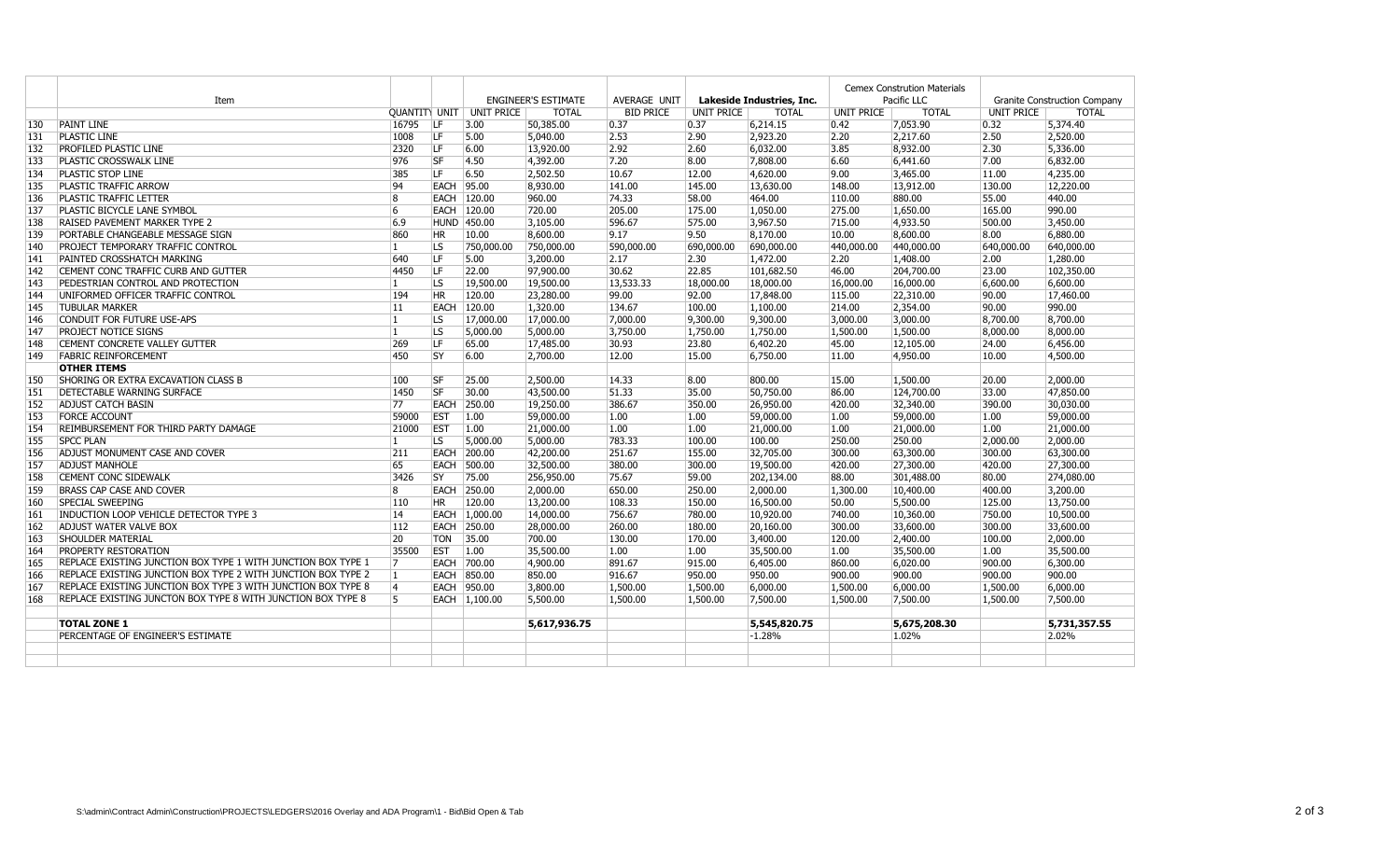|     | Item                                                          |                |             |                                   | <b>ENGINEER'S ESTIMATE</b> | AVERAGE UNIT     |            | Lakeside Industries, Inc. | <b>Cemex Constrution Materials</b><br>Pacific LLC |              | Granite Construction Company |              |
|-----|---------------------------------------------------------------|----------------|-------------|-----------------------------------|----------------------------|------------------|------------|---------------------------|---------------------------------------------------|--------------|------------------------------|--------------|
|     |                                                               |                |             | <b>QUANTITY UNIT   UNIT PRICE</b> | <b>TOTAL</b>               | <b>BID PRICE</b> | UNIT PRICE | <b>TOTAL</b>              | UNIT PRICE                                        | <b>TOTAL</b> | UNIT PRICE                   | <b>TOTAL</b> |
| 130 | <b>PAINT LINE</b>                                             | 16795          | ILF.        | 3.00                              | 50,385.00                  | 0.37             | 0.37       | 6,214.15                  | 0.42                                              | 7,053.90     | 0.32                         | 5,374.40     |
| 131 | <b>PLASTIC LINE</b>                                           | 1008           | <b>LF</b>   | 5.00                              | 5,040,00                   | 2.53             | 2.90       | 2,923.20                  | 2.20                                              | 2,217.60     | 2.50                         | 2,520,00     |
| 132 | PROFILED PLASTIC LINE                                         | 2320           | ILF.        | 6.00                              | 13,920.00                  | 2.92             | 2.60       | 6,032.00                  | 3.85                                              | 8,932.00     | 2.30                         | 5,336.00     |
| 133 | PLASTIC CROSSWALK LINE                                        | 976            | <b>SF</b>   | 4.50                              | 4,392.00                   | 7.20             | 8.00       | 7,808.00                  | 6.60                                              | 6,441.60     | 7.00                         | 6,832.00     |
| 134 | PLASTIC STOP LINE                                             | 385            | LF          | 6.50                              | 2,502.50                   | 10.67            | 12.00      | 4,620.00                  | 9.00                                              | 3,465.00     | 11.00                        | 4,235.00     |
| 135 | PLASTIC TRAFFIC ARROW                                         | 94             | <b>EACH</b> | 95.00                             | 8,930.00                   | 141.00           | 145.00     | 13,630.00                 | 148.00                                            | 13,912.00    | 130.00                       | 12,220.00    |
| 136 | PLASTIC TRAFFIC LETTER                                        | 8              |             | EACH 120.00                       | 960.00                     | 74.33            | 58.00      | 464.00                    | 110.00                                            | 880.00       | 55.00                        | 440.00       |
| 137 | PLASTIC BICYCLE LANE SYMBOL                                   | 6              |             | EACH 120.00                       | 720.00                     | 205.00           | 175.00     | 1,050.00                  | 275.00                                            | 1,650.00     | 165.00                       | 990.00       |
| 138 | <b>RAISED PAVEMENT MARKER TYPE 2</b>                          | 6.9            |             | HUND 450.00                       | 3,105.00                   | 596.67           | 575.00     | 3,967.50                  | 715.00                                            | 4,933.50     | 500.00                       | 3,450.00     |
| 139 | PORTABLE CHANGEABLE MESSAGE SIGN                              | 860            | HR.         | 10.00                             | 8,600.00                   | 9.17             | 9.50       | 8,170.00                  | 10.00                                             | 8,600.00     | 8.00                         | 6,880.00     |
| 140 | PROJECT TEMPORARY TRAFFIC CONTROL                             | $\mathbf{1}$   | lls.        | 750,000.00                        | 750,000.00                 | 590,000.00       | 690,000.00 | 690,000.00                | 440,000.00                                        | 440,000.00   | 640,000.00                   | 640,000.00   |
| 141 | PAINTED CROSSHATCH MARKING                                    | 640            | <b>LF</b>   | 5.00                              | 3,200.00                   | 2.17             | 2.30       | 1,472.00                  | 2.20                                              | 1,408.00     | 2.00                         | 1,280.00     |
| 142 | CEMENT CONC TRAFFIC CURB AND GUTTER                           | 4450           | <b>LF</b>   | 22.00                             | 97,900.00                  | 30.62            | 22.85      | 101,682.50                | 46.00                                             | 204,700.00   | 23.00                        | 102,350.00   |
| 143 | PEDESTRIAN CONTROL AND PROTECTION                             | $\mathbf{1}$   | LS.         | 19,500.00                         | 19,500.00                  | 13,533.33        | 18,000.00  | 18,000.00                 | 16,000.00                                         | 16,000.00    | 6,600.00                     | 6,600.00     |
| 144 | UNIFORMED OFFICER TRAFFIC CONTROL                             | 194            | <b>HR</b>   | 120.00                            | 23,280.00                  | 99.00            | 92.00      | 17,848.00                 | 115.00                                            | 22,310.00    | 90.00                        | 17,460.00    |
| 145 | <b>TUBULAR MARKER</b>                                         | 11             | <b>EACH</b> | 120.00                            | 1,320.00                   | 134.67           | 100.00     | 1,100.00                  | 214.00                                            | 2,354.00     | 90.00                        | 990.00       |
| 146 | CONDUIT FOR FUTURE USE-APS                                    | $\mathbf{1}$   | LS.         | 17,000.00                         | 17,000.00                  | 7,000.00         | 9,300.00   | 9,300.00                  | 3,000.00                                          | 3,000.00     | 8,700.00                     | 8,700.00     |
| 147 | <b>PROJECT NOTICE SIGNS</b>                                   | $\mathbf{1}$   | LS.         | 5,000.00                          | 5,000.00                   | 3,750.00         | 1,750.00   | 1,750.00                  | 1,500.00                                          | 1,500.00     | 8,000.00                     | 8,000.00     |
| 148 | CEMENT CONCRETE VALLEY GUTTER                                 | 269            | <b>LF</b>   | 65.00                             | 17,485.00                  | 30.93            | 23.80      | 6,402.20                  | 45.00                                             | 12,105.00    | 24.00                        | 6,456.00     |
| 149 | <b>FABRIC REINFORCEMENT</b>                                   | 450            | <b>SY</b>   | 6.00                              | 2,700.00                   | 12.00            | 15.00      | 6,750.00                  | 11.00                                             | 4,950.00     | 10.00                        | 4,500.00     |
|     | <b>OTHER ITEMS</b>                                            |                |             |                                   |                            |                  |            |                           |                                                   |              |                              |              |
| 150 | SHORING OR EXTRA EXCAVATION CLASS B                           | 100            | <b>SF</b>   | 25.00                             | 2,500.00                   | 14.33            | 8.00       | 800.00                    | 15.00                                             | 1,500.00     | 20.00                        | 2,000.00     |
| 151 | <b>DETECTABLE WARNING SURFACE</b>                             | 1450           | <b>SF</b>   | 30.00                             | 43,500.00                  | 51.33            | 35.00      | 50,750.00                 | 86.00                                             | 124,700.00   | 33.00                        | 47,850.00    |
| 152 | <b>ADJUST CATCH BASIN</b>                                     | 77             | <b>EACH</b> | 250.00                            | 19,250.00                  | 386.67           | 350.00     | 26,950.00                 | 420.00                                            | 32,340.00    | 390.00                       | 30,030.00    |
| 153 | <b>FORCE ACCOUNT</b>                                          | 59000          | <b>EST</b>  | 1.00                              | 59,000.00                  | 1.00             | 1.00       | 59,000.00                 | 1.00                                              | 59,000.00    | 1.00                         | 59,000.00    |
| 154 | REIMBURSEMENT FOR THIRD PARTY DAMAGE                          | 21000          | <b>EST</b>  | 1.00                              | 21,000.00                  | 1.00             | 1.00       | 21,000.00                 | 1.00                                              | 21,000.00    | 1.00                         | 21,000.00    |
| 155 | <b>SPCC PLAN</b>                                              | $\mathbf{1}$   | LS.         | 5,000.00                          | 5,000.00                   | 783.33           | 100.00     | 100.00                    | 250.00                                            | 250.00       | 2,000.00                     | 2,000.00     |
| 156 | ADJUST MONUMENT CASE AND COVER                                | 211            | <b>EACH</b> | 200.00                            | 42,200.00                  | 251.67           | 155.00     | 32,705.00                 | 300.00                                            | 63,300.00    | 300.00                       | 63,300.00    |
| 157 | <b>ADJUST MANHOLE</b>                                         | 65             | <b>EACH</b> | 500.00                            | 32,500.00                  | 380.00           | 300.00     | 19,500.00                 | 420.00                                            | 27,300.00    | 420.00                       | 27,300.00    |
| 158 | <b>CEMENT CONC SIDEWALK</b>                                   | 3426           | lsy         | 75.00                             | 256,950.00                 | 75.67            | 59.00      | 202,134.00                | 88.00                                             | 301,488.00   | 80.00                        | 274,080.00   |
| 159 | <b>BRASS CAP CASE AND COVER</b>                               | 8              | <b>EACH</b> | 250.00                            | 2,000.00                   | 650.00           | 250.00     | 2,000.00                  | 1,300.00                                          | 10,400.00    | 400.00                       | 3,200.00     |
| 160 | <b>SPECIAL SWEEPING</b>                                       | 110            | HR.         | 120.00                            | 13,200.00                  | 108.33           | 150.00     | 16,500.00                 | 50.00                                             | 5,500.00     | 125.00                       | 13,750.00    |
| 161 | INDUCTION LOOP VEHICLE DETECTOR TYPE 3                        | 14             | EACH        | 1.000.00                          | 14,000.00                  | 756.67           | 780.00     | 10,920.00                 | 740.00                                            | 10,360,00    | 750.00                       | 10,500.00    |
| 162 | <b>ADJUST WATER VALVE BOX</b>                                 | 112            | <b>EACH</b> | 250.00                            | 28,000.00                  | 260.00           | 180.00     | 20,160.00                 | 300.00                                            | 33,600.00    | 300.00                       | 33,600.00    |
| 163 | <b>SHOULDER MATERIAL</b>                                      | 20             | <b>TON</b>  | 35.00                             | 700.00                     | 130.00           | 170.00     | 3,400.00                  | 120.00                                            | 2,400.00     | 100.00                       | 2,000.00     |
| 164 | <b>PROPERTY RESTORATION</b>                                   | 35500          | <b>EST</b>  | 1.00                              | 35,500.00                  | 1.00             | 1.00       | 35,500.00                 | 1.00                                              | 35,500.00    | 1.00                         | 35,500.00    |
| 165 | REPLACE EXISTING JUNCTION BOX TYPE 1 WITH JUNCTION BOX TYPE 1 | 17             | <b>EACH</b> | 700.00                            | 4,900.00                   | 891.67           | 915.00     | 6,405.00                  | 860.00                                            | 6,020.00     | 900.00                       | 6,300.00     |
| 166 | REPLACE EXISTING JUNCTION BOX TYPE 2 WITH JUNCTION BOX TYPE 2 | 1              |             | EACH 850.00                       | 850.00                     | 916.67           | 950.00     | 950.00                    | 900.00                                            | 900.00       | 900.00                       | 900.00       |
| 167 | REPLACE EXISTING JUNCTION BOX TYPE 3 WITH JUNCTION BOX TYPE 8 | 4              | <b>EACH</b> | 950.00                            | 3,800.00                   | 1,500.00         | 1,500.00   | 6,000.00                  | 1,500.00                                          | 6,000.00     | 1,500.00                     | 6,000.00     |
| 168 | REPLACE EXISTING JUNCTON BOX TYPE 8 WITH JUNCTION BOX TYPE 8  | $\overline{5}$ |             | EACH 1,100.00                     | 5,500.00                   | 1,500.00         | 1,500.00   | 7,500.00                  | 1,500.00                                          | 7,500.00     | 1.500.00                     | 7,500.00     |
|     |                                                               |                |             |                                   |                            |                  |            |                           |                                                   |              |                              |              |
|     | <b>TOTAL ZONE 1</b>                                           |                |             |                                   | 5,617,936.75               |                  |            | 5,545,820.75              |                                                   | 5,675,208.30 |                              | 5,731,357.55 |
|     | PERCENTAGE OF ENGINEER'S ESTIMATE                             |                |             |                                   |                            |                  |            | $-1.28%$                  |                                                   | 1.02%        |                              | 2.02%        |
|     |                                                               |                |             |                                   |                            |                  |            |                           |                                                   |              |                              |              |
|     |                                                               |                |             |                                   |                            |                  |            |                           |                                                   |              |                              |              |